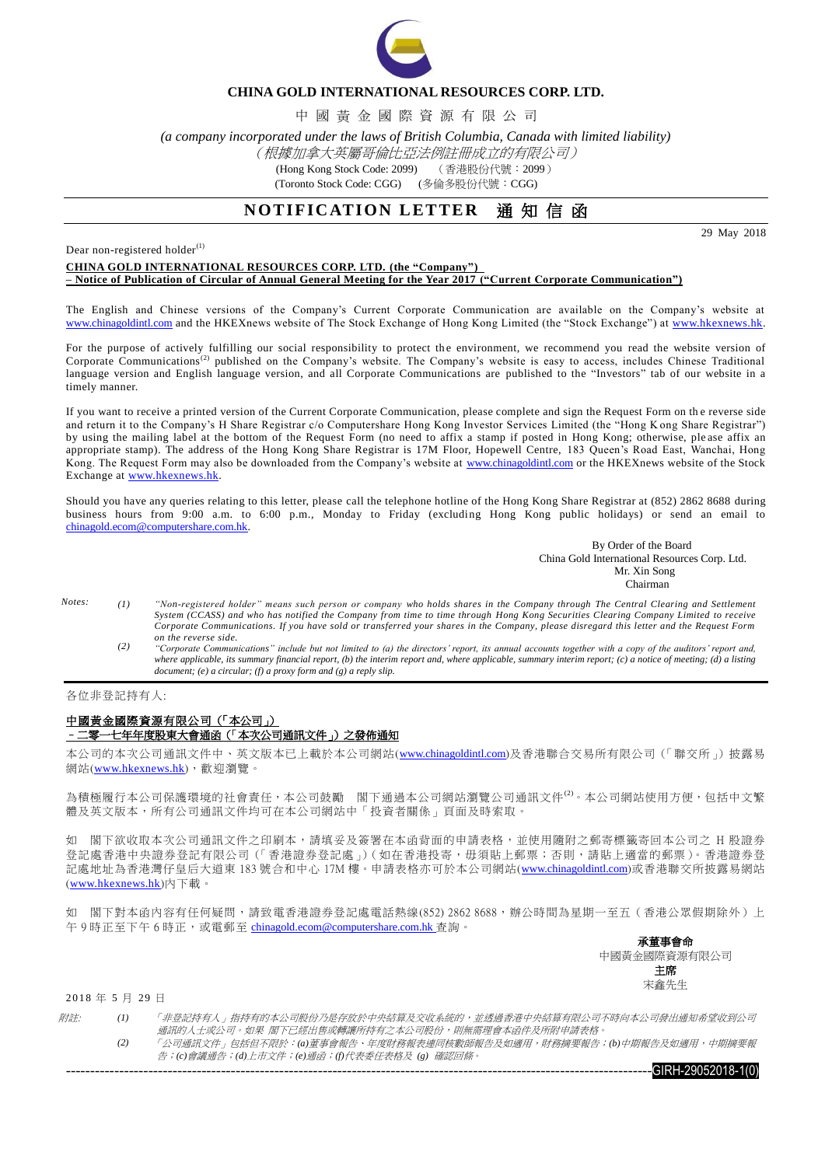

## **CHINA GOLD INTERNATIONAL RESOURCES CORP. LTD.**

中 國 黃 金 國 際 資 源 有 限 公 司

*(a company incorporated under the laws of British Columbia, Canada with limited liability)*

## (根據加拿大英屬哥倫比亞法例註冊成立的有限公司)

(Hong Kong Stock Code: 2099) (香港股份代號:2099)

(Toronto Stock Code: CGG) (多倫多股份代號: CGG)

## **NOTIFICATION LETTER** 通知信函

29 May 2018

Dear non-registered holder $^{(1)}$ 

### **CHINA GOLD INTERNATIONAL RESOURCES CORP. LTD. (the "Company") – Notice of Publication of Circular of Annual General Meeting for the Year 2017 ("Current Corporate Communication")**

The English and Chinese versions of the Company's Current Corporate Communication are available on the Company's website at [www.chinagoldintl.com](http://www.chinagoldintl.com/) and the HKEXnews website of The Stock Exchange of Hong Kong Limited (the "Stock Exchange") at [www.hkexnews.hk.](http://www.hkexnews.hk/index.htm)

For the purpose of actively fulfilling our social responsibility to protect the environment, we recommend you read the website version of Corporate Communications<sup>(2)</sup> published on the Company's website. The Company's website is easy to access, includes Chinese Traditional language version and English language version, and all Corporate Communications are published to the "Investors" tab of our website in a timely manner.

If you want to receive a printed version of the Current Corporate Communication, please complete and sign the Request Form on th e reverse side and return it to the Company's H Share Registrar c/o Computershare Hong Kong Investor Services Limited (the "Hong K ong Share Registrar") by using the mailing label at the bottom of the Request Form (no need to affix a stamp if posted in Hong Kong; otherwise, ple ase affix an appropriate stamp). The address of the Hong Kong Share Registrar is 17M Floor, Hopewell Centre, 183 Queen's Road East, Wanchai, Hong Kong. The Request Form may also be downloaded from the Company's website at [www.chinagoldintl.com](http://www.chinagoldintl.com/) or the HKEXnews website of the Stock Exchange at [www.hkexnews.hk.](http://www.hkexnews.hk/index.htm)

Should you have any queries relating to this letter, please call the telephone hotline of the Hong Kong Share Registrar at (852) 2862 8688 during business hours from 9:00 a.m. to 6:00 p.m., Monday to Friday (excluding Hong Kong public holidays) or send an email to [chinagold.ecom@computershare.com.hk.](mailto:sanmiguel.ecom@computershare.com.hk)

> By Order of the Board China Gold International Resources Corp. Ltd. Mr. Xin Song **Chairman**

- *Notes: (1) "Non-registered holder" means such person or company who holds shares in the Company through The Central Clearing and Settlement System (CCASS) and who has notified the Company from time to time through Hong Kong Securities Clearing Company Limited to receive Corporate Communications. If you have sold or transferred your shares in the Company, please disregard this letter and the Request Form on the reverse side.*
	- *(2) "Corporate Communications" include but not limited to (a) the directors' report, its annual accounts together with a copy of the auditors' report and, where applicable, its summary financial report, (b) the interim report and, where applicable, summary interim report; (c) a notice of meeting; (d) a listing document; (e) a circular; (f) a proxy form and (g) a reply slip.*

#### 各位非登記持有人:

### 中國黃金國際資源有限公司(「本公司」) –二零一七年年度股東大會通函(「本次公司通訊文件」)之發佈通知

本公司的本次公司通訊文件中、英文版本已上載於本公司網站([www.chinagoldintl.com](http://www.chinagoldintl.com/))及香港聯合交易所有限公司(「聯交所」)披露易 網站([www.hkexnews.hk](http://www.hkexnews.hk/index.htm)),歡迎瀏覽。

為積極履行本公司保護環境的社會責任,本公司鼓勵 閣下通過本公司網站瀏覽公司通訊文件<sup>(2)</sup>。本公司網站使用方便,包括中文繁 體及英文版本,所有公司通訊文件均可在本公司網站中「投資者關係」頁面及時索取。

如 閣下欲收取本次公司通訊文件之印刷本,請填妥及簽署在本函背面的申請表格,並使用隨附之郵寄標籤寄回本公司之 H 股證券 登記處香港中央證券登記有限公司(「香港證券登記處」)(如在香港投寄,毋須貼上郵票;否則,請貼上適當的郵票)。香港證券登 記處地址為香港灣仔皇后大道東 183 號合和中心 17M 樓。申請表格亦可於本公司網站([www.chinagoldintl.com](http://www.chinagoldintl.com/))或香港聯交所披露易網站 ([www.hkexnews.hk](http://www.hkexnews.hk/index.htm))內下載。

如 閣下對本函內容有任何疑問,請致電香港證券登記處電話熱線(852) 2862 8688,辦公時間為星期一至五(香港公眾假期除外)上 午9時正至下午6時正,或電郵至 [chinagold.ecom@computershare.com.hk](mailto:sanmiguel.ecom@computershare.com.hk) 查詢。

> 承董事會命 中國黃金國際資源有限公司 主席 宋鑫先生

### 2018 年 5 月 29 日

| 附註 | (I) | 「非登記持有人」指持有的本公司股份乃是存放於中央結算及交收系統的,並透過香港中央結算有限公司不時向本公司發出通知希望收到公司」    |
|----|-----|--------------------------------------------------------------------|
|    |     | <i>诵訊的人十或公司。如果 閣下已經出售或轉讓所持有之本公司股份,則無需理會本函件及所附申請表格</i> 。            |
|    |     | 「公司通訊文件,包括但不限於:(a)董事會報告、年度財務報表連同核數師報告及如適用,財務摘要報告;(b)中期報告及如適用,中期摘要報 |
|    |     | 告;(c)會議通告;(d)上市文件;(e)通函;(f)代表委任表格及 (g) 確認回條。                       |
|    |     | 0.1511 000000010 1001                                              |

-GIRH-29052018-1(0)